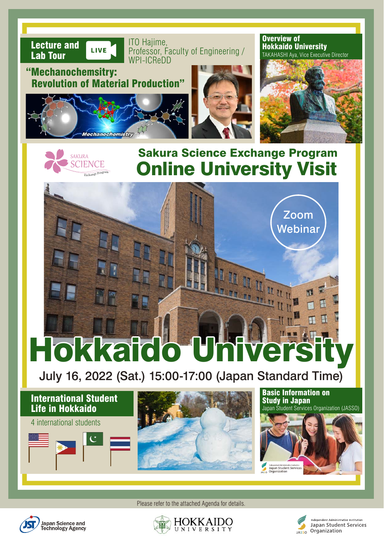



HHHuu

Hokkaido Unive

July 16, 2022 (Sat.) 15:00-17:00 (Japan Standard Time)



Please refer to the attached Agenda for details.



SAKURA **SCIENCE** Exchange Program





Zoom

**Webinar**